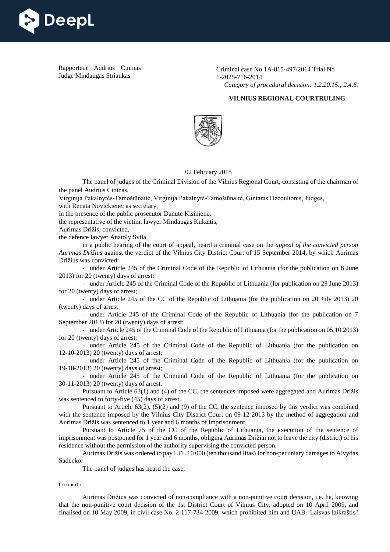

Rapporteur Audrius Cininas Judge Mindaugas Striaukas

Criminal case No 1A-815-497/2014 Trial No 1-2025-716-2014 *Category of procedural decision: 1.2.20.15.; 2.4.6.*

## **VILNIUS REGIONAL COURTRULING**



## 02 February 2015

The panel of judges of the Criminal Division of the Vilnius Regional Court, consisting of the chairman of the panel Audrius Cininas,

Virginija Pakalnytės-Tamošiūnaitė, Virginija Pakalnytė-Tamošiūnaitė, Gintaras Dzedulionis, Judges,

with Renata Novickienei as secretary,

in the presence of the public prosecutor Danute Kisiniene,

the representative of the victim, lawyer Mindaugas Kukaitis,

Aurimas Drižis, convicted,

the defence lawyer Anatoly Svila

in a public hearing of the court of appeal, heard a criminal case on the *appeal of the convicted person Aurimas Drižius* against the verdict of the Vilnius City District Court of 15 September 2014, by which Aurimas Drižius was convicted:

- under Article 245 of the Criminal Code of the Republic of Lithuania (for the publication on 8 June 2013) for 20 (twenty) days of arrest;

- under Article 245 of the Criminal Code of the Republic of Lithuania (for publication on 29 June 2013) for 20 (twenty) days of arrest;

- under Article 245 of the CC of the Republic of Lithuania (for the publication on 20 July 2013) 20 (twenty) days of arrest

- under Article 245 of the Criminal Code of the Republic of Lithuania (for the publication on 7 September 2013) for 20 (twenty) days of arrest;

- under Article 245 of the Criminal Code of the Republic of Lithuania (for the publication on 05.10.2013) for 20 (twenty) days of arrest;

- under Article 245 of the Criminal Code of the Republic of Lithuania (for the publication on 12-10-2013) 20 (twenty) days of arrest;

- under Article 245 of the Criminal Code of the Republic of Lithuania (for the publication on 19-10-2013) 20 (twenty) days of arrest;

- under Article 245 of the Criminal Code of the Republic of Lithuania (for the publication on 30-11-2013) 20 (twenty) days of arrest.

Pursuant to Article 63(1) and (4) of the CC, the sentences imposed were aggregated and Aurimas Drižis was sentenced to forty-five (45) days of arrest.

Pursuant to Article 63(2), (5)(2) and (9) of the CC, the sentence imposed by this verdict was combined with the sentence imposed by the Vilnius City District Court on 09-12-2013 by the method of aggregation and Aurimas Drižis was sentenced to 1 year and 6 months of imprisonment.

Pursuant to Article 75 of the CC of the Republic of Lithuania, the execution of the sentence of imprisonment was postponed for 1 year and 6 months, obliging Aurimas Drižiai not to leave the city (district) of his residence without the permission of the authority supervising the convicted person.

Aurimas Drižis was ordered to pay LTL 10 000 (ten thousand litas) for non-pecuniary damages to Alvydas Sadecko.

The panel of judges has heard the case,

**found:**

Aurimas Drižius was convicted of non-compliance with a non-punitive court decision, i.e. he, knowing that the non-punitive court decision of the 1st District Court of Vilnius City, adopted on 10 April 2009, and finalised on 10 May 2009, in civil case No. 2-117-734-2009, which prohibited him and UAB "Laisvas laikraštis"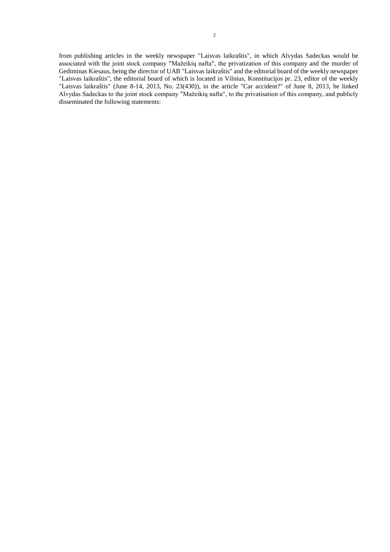from publishing articles in the weekly newspaper "Laisvas laikraštis", in which Alvydas Sadeckas would be associated with the joint stock company "Mažeikių nafta", the privatization of this company and the murder of Gediminas Kiesaus, being the director of UAB "Laisvas laikraštis" and the editorial board of the weekly newspaper "Laisvas laikraštis", the editorial board of which is located in Vilnius, Konstitucijos pr. 23, editor of the weekly "Laisvas laikraštis" (June 8-14, 2013, No. 23(430)), in the article "Car accident?" of June 8, 2013, he linked Alvydas Sadeckas to the joint stock company "Mažeikių nafta", to the privatisation of this company, and publicly disseminated the following statements: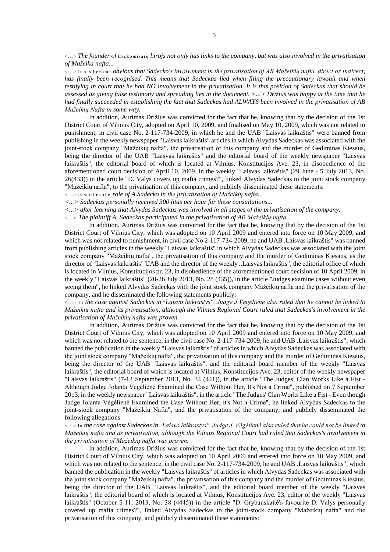<...> *The founder of* Ekskomisarų *birojs not only has links to the company, but was also involved in the privatisation of Mažeika nafta...*

<...> It has become *obvious that Sadecko's involvement in the privatisation of AB Mažeikių nafta, direct or indirect, has finally been recognised. This means that Sadeckas lied when filing the precautionary lawsuit and when testifying in court that he had NO involvement in the privatisation. It is this position of Sadeckas that should be assessed as giving false testimony and spreading lies in the document. <...> Drižius was happy at the time that he had finally succeeded in establishing the fact that Sadeckas had ALWAYS been involved in the privatisation of AB Mažeikių Nafta in some way.*

In addition, Aurimas Drižius was convicted for the fact that he, knowing that by the decision of the 1st District Court of Vilnius City, adopted on April 10, 2009, and finalised on May 10, 2009, which was not related to punishment, in civil case No. 2-117-734-2009, in which he and the UAB "Laisvas laikraštis" were banned from publishing in the weekly newspaper "Laisvas laikraštis" articles in which Alvydas Sadeckas was associated with the joint-stock company "Mažeikių nafta", the privatisation of this company and the murder of Gediminas Kiesaus, being the director of the UAB "Laisvas laikraštis" and the editorial board of the weekly newspaper "Laisvas laikraštis", the editorial board of which is located at Vilnius, Konstitucijos Ave. 23, in disobedience of the aforementioned court decision of April 10, 2009, in the weekly "Laisvas laikraštis" (29 June - 5 July 2013, No. 26(433)) in the article "D. Valys covers up mafia crimes?", linked Alvydas Sadeckas to the joint stock company "Mažeikių nafta", to the privatisation of this company, and publicly disseminated these statements:

<...> describes the *role of A.Sadecko in the privatisation of Mažeikių nafta...*

*<...> Sadeckas personally received 300 litas per hour for these consultations...*

*<...> after learning that Alvydas Sadeckas was involved in all stages of the privatisation of the company.*

<...> *The plaintiff A. Sadeckas participated in the privatisation of AB Mažeikių nafta...*

In addition. Aurimas Drižius was convicted for the fact that he, knowing that by the decision of the 1st District Court of Vilnius City, which was adopted on 10 April 2009 and entered into force on 10 May 2009, and which was not related to punishment, in civil case No 2-117-734-2009, he and UAB .Laisvas laikraštis" was banned from publishing articles in the weekly "Laisvas laikraštis" in which Alvydas Sadeckas was associated with the joint stock company "Mažeikių nafta", the privatisation of this company and the murder of Gediminas Kiesaus, as the director of "Laisvas laikraštis" UAB and the director of the weekly ..Laisvas laikraštis", the editorial office of which is located in Vilnius, Konstitucijos pr. 23, in disobedience of the aforementioned court decision of 10 April 2009, in the weekly "Laisvas laikraštis" (20-26 July 2013, No. 28 (435)), in the article "Judges examine cases without even seeing them", he linked Alvydas Sadeckas with the joint stock company Mažeikių nafta and the privatisation of the company, and he disseminated the following statements publicly:

<...> In *the case against Sadeckas in* "*Laisvo laikrastys", Judge J.Vėgėlienė also ruled that he cannot be linked to Mažeikių nafta and its privatisation, although the Vilnius Regional Court ruled that Sadeckas's involvement in the privatisation of Mažeikių nafta was proven.*

In addition, Aurimas Drižius was convicted for the fact that he, knowing that by the decision of the 1st District Court of Vilnius City, which was adopted on 10 April 2009 and entered into force on 10 May 2009, and which was not related to the sentence, in the civil case No. 2-117-734-2009, he and UAB .Laisvas laikraštis", which banned the publication in the weekly "Laisvas laikraštis" of articles in which Alvydas Sadeckas was associated with the joint stock company "Mažeikių nafta", the privatisation of this company and the murder of Gediminas Kiesaus, being the director of the UAB "Laisvas laikraštis", and the editorial board member of the weekly "Laisvas laikraštis", the editorial board of which is located at Vilnius, Konstitucijos Ave. 23, editor of the weekly newspaper "Laisvas laikraštis" (7-13 September 2013, No. 34 (441)), in the article "The Judges' Clan Works Like a Fist - Although Judge Jolanta Vėgėlienė Examined the Case Without Her, It's Not a Crime", published on 7 September 2013, in the weekly newspaper "Laisvas laikraštis", in the article "The Judges' Clan Works Like a Fist - Even though Judge Jolanta Vėgėlienė Examined the Case Without Her, it's Not a Crime", he linked Alvydas Sadeckas to the joint-stock company "Mažeikių Nafta", and the privatisation of the company, and publicly disseminated the following allegations:

<...> In *the case against Sadeckas in* "*Laisvo laikrastys", Judge J. Vėgėlienė also ruled that he could not be linked to Mažeikių nafta and its privatisation, although the Vilnius Regional Court had ruled that Sadeckas's involvement in the privatisation of Mažeikių nafta was proven.*

In addition, Aurimas Drižius was convicted for the fact that he, knowing that by the decision of the 1st District Court of Vilnius City, which was adopted on 10 April 2009 and entered into force on 10 May 2009, and which was not related to the sentence, in the civil case No. 2-117-734-2009, he and UAB .Laisvas laikraštis", which banned the publication in the weekly "Laisvas laikraštis" of articles in which Alvydas Sadeckas was associated with the joint stock company "Mažeikių nafta", the privatisation of this company and the murder of Gediminas Kiesaus, being the director of the UAB "Laisvas laikraštis", and the editorial board member of the weekly "Laisvas laikraštis", the editorial board of which is located at Vilnius, Konstitucijos Ave. 23, editor of the weekly "Laisvas laikraštis" (October 5-11, 2013, No. 38 (4445)) in the article "D. Grybauskaitė's favourite D. Valys personally covered up mafia crimes?", linked Alvydas Sadeckas to the joint-stock company "Mažeikių nafta" and the privatisation of this company, and publicly disseminated these statements: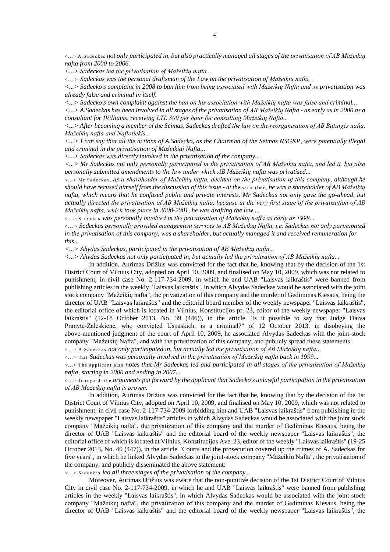<...> A.Sadeckas *not only participated in, but also practically managed all stages of the privatisation of AB Mažeikių nafta from 2000 to 2006.*

*<...> Sadeckas led the privatisation of Mažeikių nafta...*

<... > *Sadeckas was the personal draftsman of the Law on the privatisation of Mažeikių nafta*...

*<...> Sadecko's complaint in 2008 to ban him from being associated with Mažeikių Nafta and* its *privatisation was already false and criminal in itself.*

*<...> Sadecko's own complaint against the ban on his association with Mažeikių nafta was false and criminal...*

*<...> A.Sadeckas has been involved in all stages of the privatisation of AB Mažeikių Nafta - as early as in 2000 as a consultant for IVilliams, receiving LTL 300 per hour for consulting Mažeikių Nafta...*

*<...> After becoming a member of the Seimas, Sadeckas drafted the law on the reorganisation of AB Būtingės nafta, Mažeikių nafta and Naftotiekis...*

*<...> I can say that all the actions of A.Sadecko, as the Chairman of the Seimas NSGKP, were potentially illegal and criminal in the privatisation of Mažeikiai Nafta...*

*<...> Sadeckas was directly involved in the privatisation of the company...*

*<...> Mr Sadeckas not only personally participated in the privatisation of AB Mažeikių nafta, and led it, but also personally submitted amendments to the law under which AB Mažeikių nafta was privatised...*

<...> Mr Sadeckas*, as a shareholder of Mažeikių nafta, decided on the privatisation of this company, although he should have recused himself from the discussion of this issue - at the* same time, *he was a shareholder of AB Mažeikių nafta, which means that he confused public and private interests. Mr Sadeckas not only gave the go-ahead, but actually directed the privatisation of AB Mažeikių nafta, because at the very first stage of the privatisation of AB Mažeikių nafta, which took place in 2000-2001, he was drafting the law ...*

<...> Sadeckas *was personally involved in the privatisation of Mažeikių nafta as early as 1999...*

<... > *Sadeckas personally provided management services to AB Mažeikių Nafta, i.e. Sadeckas not only participated in the privatisation of this company, was a shareholder, but actually managed it and received remuneration for this...*

*<...> Ahydas Sadeckas, participated in the privatisation of AB Mažeikių nafta...*

*<...> Ahydas Sadeckas not only participated in, but actually led the privatisation of AB Mažeikių nafta...*

In addition. Aurimas Drižius was convicted for the fact that he, knowing that by the decision of the 1st District Court of Vilnius City, adopted on April 10, 2009, and finalised on May 10, 2009, which was not related to punishment, in civil case No. 2-117-734-2009, in which he and UAB "Laisvas laikraštis" were banned from publishing articles in the weekly "Laisvas laikraštis", in which Alvydas Sadeckas would be associated with the joint stock company "Mažeikių nafta", the privatization of this company and the murder of Gediminas Kiesaus, being the director of UAB "Laisvas laikraštis" and the editorial board member of the weekly newspaper "Laisvas laikraštis", the editorial office of which is located in Vilnius, Konstitucijos pr. 23, editor of the weekly newspaper "Laisvas laikraštis" (12-18 October 2013, No. 39 (446)), in the article "Is it possible to say that Judge Daiva Pranytė-Zaleskienė, who convicted Uspaskich, is a criminal?" of 12 October 2013, in disobeying the above-mentioned judgment of the court of April 10, 2009, he associated Alvydas Sadeckas with the joint-stock company "Mažeikių Nafta", and with the privatization of this company, and publicly spread these statements:

<...> A.Sadeckas *not only participated in, but actually led the privatisation of AB Mažeikių nafta...*

<...> that *Sadeckas was personally involved in the privatisation of Mažeikių nafta back in 1999...*

<...> The applicant also *notes that Mr Sadeckas led and participated in all stages of the privatisation of Mažeikių nafta, starting in 2000 and ending in 2007...*

<...> disregards the *arguments put forward by the applicant that Sadecko's unlawful participation in the privatisation of AB Mažeikių nafta is proven.*

In addition, Aurimas Drižius was convicted for the fact that he, knowing that by the decision of the 1st District Court of Vilnius City, adopted on April 10, 2009, and finalised on May 10, 2009, which was not related to punishment, in civil case No. 2-117-734-2009 forbidding him and UAB "Laisvas laikraštis" from publishing in the weekly newspaper "Laisvas laikraštis" articles in which Alvydas Sadeckas would be associated with the joint stock company "Mažeikių nafta", the privatization of this company and the murder of Gediminas Kiesaus, being the director of UAB "Laisvas laikraštis" and the editorial board of the weekly newspaper "Laisvas laikraštis", the editorial office of which is located at Vilnius, Konstitucijos Ave. 23, editor of the weekly "Laisvas laikraštis" (19-25 October 2013, No. 40 (447)), in the article "Courts and the prosecution covered up the crimes of A. Sadeckas for five years", in which he linked Alvydas Sadeckas to the joint-stock company "Mažeikių Nafta", the privatisation of the company, and publicly disseminated the above statement:

<...> Sadeckas *led all three stages of the privatisation of the company...*

Moreover, Aurimas Drižius was aware that the non-punitive decision of the 1st District Court of Vilnius City in civil case No. 2-117-734-2009, in which he and UAB "Laisvas laikraštis" were banned from publishing articles in the weekly "Laisvas laikraštis", in which Alvydas Sadeckas would be associated with the joint stock company "Mažeikių nafta", the privatization of this company and the murder of Gediminas Kiesaus, being the director of UAB "Laisvas laikraštis" and the editorial board of the weekly newspaper "Laisvas laikraštis", the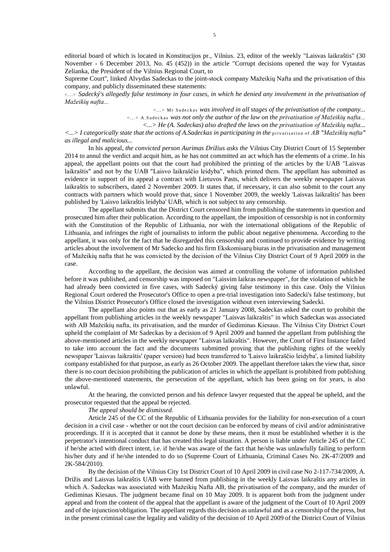editorial board of which is located in Konstitucijos pr., Vilnius. 23, editor of the weekly "Laisvas laikraštis" (30 November - 6 December 2013, No. 45 (452)) in the article "Corrupt decisions opened the way for Vytautas Zelianka, the President of the Vilnius Regional Court, to

Supreme Court'', linked Alvydas Sadeckas to the joint-stock company Mažeikių Nafta and the privatisation of this company, and publicly disseminated these statements:

<...> *Sadecký's allegedly false testimony in four cases, in which he denied any involvement in the privatisation of Mažeikių nafta...*

<...> Mr Sadeckas *was involved in all stages of the privatisation of the company...*

<...> A.Sadeckas *was not only the author of the law on the privatisation of Mažeikių nafta...*

*<...> He (A. Sadeckas) also drafted the laws on the privatisation of Mažeikių nafta...*

*<...> I categorically state that the actions of A.Sadeckas in participating in the* privatisation of *AB "Mažeikių nafta" as illegal and malicious...*

In his appeal, *the convicted person Aurimas Drižius asks the* Vilnius City District Court of 15 September 2014 to annul the verdict and acquit him, as he has not committed an act which has the elements of a crime. In his appeal, the appellant points out that the court had prohibited the printing of the articles by the UAB "Laisvas laikraštis" and not by the UAB "Laisvo laikraščio leidyba", which printed them. The appellant has submitted as evidence in support of its appeal a contract with Lietuvos Pasts, which delivers the weekly newspaper Laisvas laikraštis to subscribers, dated 2 November 2009. It states that, if necessary, it can also submit to the court any contracts with partners which would prove that, since 1 November 2009, the weekly 'Laisvas laikraštis' has been published by 'Laisvo laikraštis leidyba' UAB, which is not subject to any censorship.

The appellant submits that the District Court censored him from publishing the statements in question and prosecuted him after their publication. According to the appellant, the imposition of censorship is not in conformity with the Constitution of the Republic of Lithuania, nor with the international obligations of the Republic of Lithuania, and infringes the right of journalists to inform the public about negative phenomena. According to the appellant, it was only for the fact that he disregarded this censorship and continued to provide evidence by writing articles about the involvement of Mr Sadecko and his firm Ekskomisarų biuras in the privatisation and management of Mažeikių nafta that he was convicted by the decision of the Vilnius City District Court of 9 April 2009 in the case.

According to the appellant, the decision was aimed at controlling the volume of information published before it was published, and censorship was imposed on "Laisvim laikras newspaper", for the violation of which he had already been convicted in five cases, with Sadecký giving false testimony in this case. Only the Vilnius Regional Court ordered the Prosecutor's Office to open a pre-trial investigation into Sadecki's false testimony, but the Vilnius District Prosecutor's Office closed the investigation without even interviewing Sadecki.

The appellant also points out that as early as 21 January 2008, Sadeckas asked the court to prohibit the appellant from publishing articles in the weekly newspaper "Laisvas laikraštis" in which Sadeckas was associated with AB Mažeikių nafta, its privatisation, and the murder of Gediminas Kiesaus. The Vilnius City District Court upheld the complaint of Mr Sadeckas by a decision of 9 April 2009 and banned the appellant from publishing the above-mentioned articles in the weekly newspaper "Laisvas laikraštis". However, the Court of First Instance failed to take into account the fact and the documents submitted proving that the publishing rights of the weekly newspaper 'Laisvas laikraštis' (paper version) had been transferred to 'Laisvo laikraščio leidyba', a limited liability company established for that purpose, as early as 26 October 2009. The appellant therefore takes the view that, since there is no court decision prohibiting the publication of articles in which the appellant is prohibited from publishing the above-mentioned statements, the persecution of the appellant, which has been going on for years, is also unlawful.

At the hearing, the convicted person and his defence lawyer requested that the appeal be upheld, and the prosecutor requested that the appeal be rejected.

*The appeal should be dismissed.*

Article 245 of the CC of the Republic of Lithuania provides for the liability for non-execution of a court decision in a civil case - whether or not the court decision can be enforced by means of civil and/or administrative proceedings. If it is accepted that it cannot be done by these means, then it must be established whether it is the perpetrator's intentional conduct that has created this legal situation. A person is liable under Article 245 of the CC if he/she acted with direct intent, i.e. if he/she was aware of the fact that he/she was unlawfully failing to perform his/her duty and if he/she intended to do so (Supreme Court of Lithuania, Criminal Cases No. 2K-47/2009 and 2K-584/2010).

By the decision of the Vilnius City 1st District Court of 10 April 2009 in civil case No 2-117-734/2009, A. Drižis and Laisvas laikraštis UAB were banned from publishing in the weekly Laisvas laikraštis any articles in which A. Sadeckas was associated with Mažeikių Nafta AB, the privatisation of the company, and the murder of Gediminas Kiesaus. The judgment became final on 10 May 2009. It is apparent both from the judgment under appeal and from the content of the appeal that the appellant is aware of the judgment of the Court of 10 April 2009 and of the injunction/obligation. The appellant regards this decision as unlawful and as a censorship of the press, but in the present criminal case the legality and validity of the decision of 10 April 2009 of the District Court of Vilnius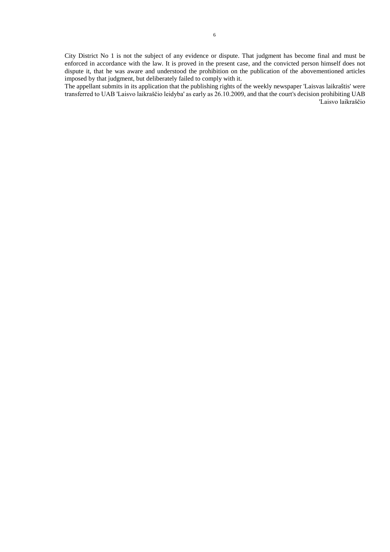City District No 1 is not the subject of any evidence or dispute. That judgment has become final and must be enforced in accordance with the law. It is proved in the present case, and the convicted person himself does not dispute it, that he was aware and understood the prohibition on the publication of the abovementioned articles imposed by that judgment, but deliberately failed to comply with it.

The appellant submits in its application that the publishing rights of the weekly newspaper 'Laisvas laikraštis' were transferred to UAB 'Laisvo laikraščio leidyba' as early as 26.10.2009, and that the court's decision prohibiting UAB 'Laisvo laikraščio